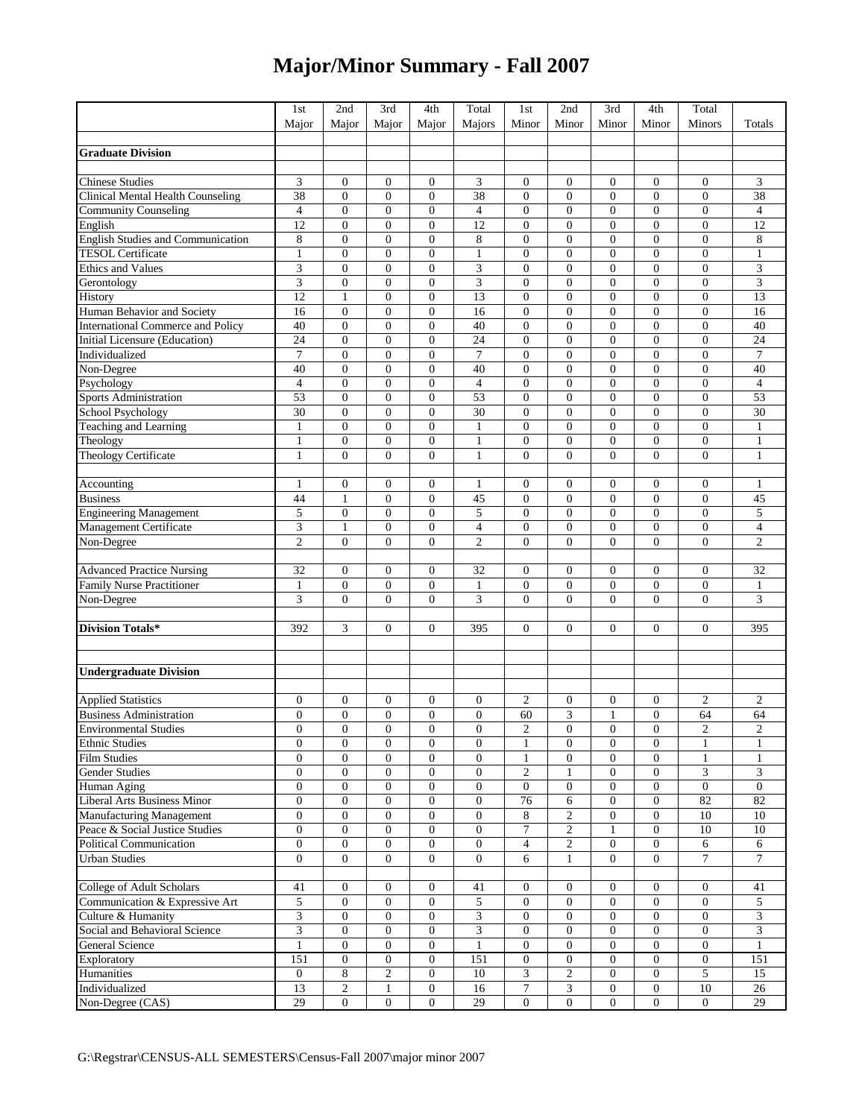## **Major/Minor Summary - Fall 2007**

|                                                             | 1st               | 2nd                              | 3rd                          | 4th                          | Total            | 1st                        | 2nd                 | 3rd                              | 4th                              | Total                              |                         |
|-------------------------------------------------------------|-------------------|----------------------------------|------------------------------|------------------------------|------------------|----------------------------|---------------------|----------------------------------|----------------------------------|------------------------------------|-------------------------|
|                                                             | Major             | Major                            | Major                        | Major                        | Majors           | Minor                      | Minor               | Minor                            | Minor                            | Minors                             | Totals                  |
|                                                             |                   |                                  |                              |                              |                  |                            |                     |                                  |                                  |                                    |                         |
| <b>Graduate Division</b>                                    |                   |                                  |                              |                              |                  |                            |                     |                                  |                                  |                                    |                         |
|                                                             |                   |                                  |                              |                              |                  |                            |                     |                                  |                                  |                                    |                         |
| Chinese Studies                                             | 3                 | $\mathbf{0}$                     | $\mathbf{0}$                 | 0                            | 3                | $\mathbf{0}$               | $\overline{0}$      | $\boldsymbol{0}$                 | $\overline{0}$                   | $\boldsymbol{0}$                   | 3                       |
| Clinical Mental Health Counseling                           | 38                | $\boldsymbol{0}$                 | $\boldsymbol{0}$             | $\boldsymbol{0}$             | 38               | $\overline{0}$             | $\boldsymbol{0}$    | $\boldsymbol{0}$                 | $\overline{0}$                   | $\boldsymbol{0}$                   | 38                      |
| <b>Community Counseling</b>                                 | $\overline{4}$    | $\mathbf{0}$                     | $\mathbf{0}$                 | $\overline{0}$               | $\overline{4}$   | $\mathbf{0}$               | $\boldsymbol{0}$    | $\mathbf{0}$                     | $\overline{0}$                   | $\boldsymbol{0}$                   | $\overline{4}$          |
| English                                                     | 12                | $\mathbf{0}$                     | $\overline{0}$               | $\overline{0}$               | 12               | $\overline{0}$             | $\overline{0}$      | $\mathbf{0}$                     | $\overline{0}$                   | $\overline{0}$                     | 12                      |
| English Studies and Communication                           | 8                 | $\boldsymbol{0}$                 | $\boldsymbol{0}$             | $\overline{0}$               | $\,$ 8 $\,$      | $\mathbf{0}$               | $\overline{0}$      | $\mathbf{0}$                     | $\overline{0}$                   | $\boldsymbol{0}$                   | 8                       |
| <b>TESOL Certificate</b>                                    | $\mathbf{1}$      | $\mathbf{0}$                     | $\mathbf{0}$                 | $\overline{0}$               | 1                | $\mathbf{0}$               | 0                   | $\boldsymbol{0}$                 | $\overline{0}$                   | $\boldsymbol{0}$                   | $\mathbf{1}$            |
| <b>Ethics and Values</b>                                    | 3                 | $\mathbf{0}$                     | $\boldsymbol{0}$             | $\overline{0}$               | 3                | $\overline{0}$             | $\boldsymbol{0}$    | $\boldsymbol{0}$                 | $\overline{0}$                   | $\overline{0}$                     | $\overline{\mathbf{3}}$ |
| Gerontology                                                 | 3                 | $\boldsymbol{0}$                 | $\boldsymbol{0}$             | $\overline{0}$               | 3                | $\overline{0}$             | $\boldsymbol{0}$    | $\mathbf{0}$                     | $\overline{0}$                   | $\boldsymbol{0}$                   | 3                       |
| History                                                     | 12                | $\mathbf{1}$                     | $\mathbf{0}$                 | $\overline{0}$               | 13               | $\mathbf{0}$               | $\overline{0}$      | $\mathbf{0}$                     | $\overline{0}$                   | $\boldsymbol{0}$                   | 13                      |
| Human Behavior and Society                                  | 16                | $\mathbf{0}$                     | $\mathbf{0}$                 | $\overline{0}$               | 16               | $\mathbf{0}$               | $\overline{0}$      | $\mathbf{0}$                     | $\overline{0}$                   | $\boldsymbol{0}$                   | 16                      |
| <b>International Commerce and Policy</b>                    | 40                | $\mathbf{0}$                     | $\mathbf{0}$                 | $\overline{0}$               | 40               | $\mathbf{0}$               | $\overline{0}$      | $\overline{0}$                   | $\overline{0}$                   | $\boldsymbol{0}$                   | 40                      |
| <b>Initial Licensure (Education)</b>                        | 24                | $\boldsymbol{0}$                 | $\overline{0}$               | $\boldsymbol{0}$             | 24               | $\overline{0}$             | $\boldsymbol{0}$    | $\boldsymbol{0}$                 | $\overline{0}$                   | $\boldsymbol{0}$                   | 24                      |
| Individualized                                              | $\overline{7}$    | $\mathbf{0}$                     | $\mathbf{0}$                 | $\overline{0}$               | $\tau$           | $\mathbf{0}$               | $\overline{0}$      | $\mathbf{0}$                     | $\overline{0}$                   | $\boldsymbol{0}$                   | $\tau$                  |
| Non-Degree                                                  | 40                | $\mathbf{0}$                     | $\mathbf{0}$                 | $\overline{0}$               | 40               | $\mathbf{0}$               | $\overline{0}$      | $\mathbf{0}$                     | $\overline{0}$                   | $\overline{0}$                     | 40                      |
| Psychology                                                  | $\overline{4}$    | $\boldsymbol{0}$                 | $\boldsymbol{0}$             | $\overline{0}$               | $\overline{4}$   | $\mathbf{0}$               | $\overline{0}$      | $\mathbf{0}$                     | $\overline{0}$                   | $\boldsymbol{0}$                   | $\overline{4}$          |
| Sports Administration                                       | 53                | $\mathbf{0}$                     | $\mathbf{0}$                 | $\overline{0}$               | 53               | $\mathbf{0}$               | 0                   | $\boldsymbol{0}$                 | $\overline{0}$                   | $\boldsymbol{0}$                   | 53                      |
| School Psychology<br>Teaching and Learning                  | 30                | $\mathbf{0}$                     | $\boldsymbol{0}$             | $\boldsymbol{0}$             | 30               | $\mathbf{0}$               | $\boldsymbol{0}$    | $\boldsymbol{0}$                 | $\overline{0}$                   | $\overline{0}$                     | 30                      |
|                                                             | $\mathbf{1}$      | $\boldsymbol{0}$                 | $\mathbf{0}$                 | $\overline{0}$               | $\mathbf{1}$     | $\mathbf{0}$               | $\boldsymbol{0}$    | $\mathbf{0}$                     | $\overline{0}$                   | $\boldsymbol{0}$                   | $\mathbf{1}$            |
| Theology                                                    | 1                 | $\mathbf{0}$                     | $\mathbf{0}$                 | $\overline{0}$               | 1                | $\mathbf{0}$               | $\overline{0}$      | $\mathbf{0}$                     | $\overline{0}$                   | $\boldsymbol{0}$                   | 1                       |
| Theology Certificate                                        | 1                 | $\mathbf{0}$                     | $\mathbf{0}$                 | $\overline{0}$               | $\mathbf{1}$     | $\Omega$                   | $\overline{0}$      | $\mathbf{0}$                     | $\overline{0}$                   | $\overline{0}$                     | 1                       |
|                                                             |                   |                                  |                              |                              |                  |                            |                     |                                  |                                  |                                    |                         |
| Accounting                                                  | 1                 | $\boldsymbol{0}$                 | $\boldsymbol{0}$             | 0                            | 1                | $\boldsymbol{0}$           | 0                   | $\boldsymbol{0}$                 | 0                                | $\boldsymbol{0}$                   | $\mathbf{1}$            |
| <b>Business</b>                                             | 44                | $\mathbf{1}$                     | $\mathbf{0}$                 | $\overline{0}$               | 45               | $\mathbf{0}$               | $\boldsymbol{0}$    | $\mathbf{0}$                     | $\overline{0}$                   | $\boldsymbol{0}$                   | 45                      |
| <b>Engineering Management</b>                               | 5                 | $\mathbf{0}$                     | $\mathbf{0}$                 | $\overline{0}$               | 5                | $\mathbf{0}$               | $\overline{0}$      | $\overline{0}$                   | $\overline{0}$                   | $\overline{0}$                     | 5                       |
| Management Certificate                                      | 3                 | $\mathbf{1}$                     | $\boldsymbol{0}$             | $\boldsymbol{0}$             | $\overline{4}$   | $\mathbf{0}$               | $\boldsymbol{0}$    | $\boldsymbol{0}$                 | $\boldsymbol{0}$                 | $\boldsymbol{0}$                   | $\overline{4}$          |
| Non-Degree                                                  | $\overline{c}$    | $\overline{0}$                   | $\mathbf{0}$                 | $\overline{0}$               | $\overline{c}$   | $\mathbf{0}$               | $\overline{0}$      | $\mathbf{0}$                     | $\overline{0}$                   | $\overline{0}$                     | $\overline{c}$          |
| <b>Advanced Practice Nursing</b>                            |                   |                                  | $\mathbf{0}$                 |                              |                  |                            |                     |                                  |                                  |                                    | 32                      |
| Family Nurse Practitioner                                   | 32                | $\boldsymbol{0}$                 |                              | $\overline{0}$               | 32               | $\mathbf{0}$               | $\overline{0}$      | $\mathbf{0}$                     | $\overline{0}$<br>$\overline{0}$ | $\boldsymbol{0}$                   |                         |
|                                                             | $\mathbf{1}$<br>3 | $\boldsymbol{0}$<br>$\mathbf{0}$ | $\mathbf{0}$<br>$\mathbf{0}$ | $\boldsymbol{0}$<br>$\theta$ | 1<br>3           | $\overline{0}$<br>$\Omega$ | 0<br>$\overline{0}$ | $\boldsymbol{0}$<br>$\mathbf{0}$ | $\theta$                         | $\boldsymbol{0}$<br>$\overline{0}$ | $\mathbf{1}$<br>3       |
| Non-Degree                                                  |                   |                                  |                              |                              |                  |                            |                     |                                  |                                  |                                    |                         |
| <b>Division Totals*</b>                                     | 392               | 3                                | $\overline{0}$               | $\boldsymbol{0}$             | 395              | $\boldsymbol{0}$           | $\boldsymbol{0}$    | $\boldsymbol{0}$                 | $\overline{0}$                   | $\boldsymbol{0}$                   | 395                     |
|                                                             |                   |                                  |                              |                              |                  |                            |                     |                                  |                                  |                                    |                         |
|                                                             |                   |                                  |                              |                              |                  |                            |                     |                                  |                                  |                                    |                         |
| <b>Undergraduate Division</b>                               |                   |                                  |                              |                              |                  |                            |                     |                                  |                                  |                                    |                         |
|                                                             |                   |                                  |                              |                              |                  |                            |                     |                                  |                                  |                                    |                         |
|                                                             | $\boldsymbol{0}$  | $\boldsymbol{0}$                 | $\boldsymbol{0}$             | $\boldsymbol{0}$             | $\boldsymbol{0}$ | $\overline{c}$             | $\boldsymbol{0}$    | $\boldsymbol{0}$                 | $\boldsymbol{0}$                 | $\mathbf{2}$                       | $\mathfrak{2}$          |
| <b>Applied Statistics</b><br>Business Administration        | $\boldsymbol{0}$  | $\boldsymbol{0}$                 | $\mathbf{0}$                 | $\boldsymbol{0}$             | $\boldsymbol{0}$ | 60                         | 3                   | $\mathbf{1}$                     | $\overline{0}$                   | 64                                 | 64                      |
| <b>Environmental Studies</b>                                | $\theta$          | $\mathbf{0}$                     | $\Omega$                     | $\overline{0}$               | $\theta$         | $\overline{c}$             | $\overline{0}$      | $\mathbf{0}$                     | $\overline{0}$                   | $\mathbf{2}$                       | $\mathfrak{2}$          |
| <b>Ethnic Studies</b>                                       | $\mathbf{0}$      | $\mathbf{0}$                     | $\mathbf{0}$                 | $\overline{0}$               | $\boldsymbol{0}$ | $\mathbf{1}$               | $\boldsymbol{0}$    | $\boldsymbol{0}$                 | $\boldsymbol{0}$                 | $\mathbf{1}$                       | $\mathbf{1}$            |
| <b>Film Studies</b>                                         | $\boldsymbol{0}$  | $\mathbf{0}$                     | $\mathbf{0}$                 | $\boldsymbol{0}$             | $\overline{0}$   | $\mathbf{1}$               | $\boldsymbol{0}$    | $\overline{0}$                   | $\overline{0}$                   | $\mathbf{1}$                       | $\mathbf{1}$            |
| Gender Studies                                              | $\boldsymbol{0}$  | $\boldsymbol{0}$                 | $\boldsymbol{0}$             | $\boldsymbol{0}$             | $\boldsymbol{0}$ | $\overline{c}$             | 1                   | $\boldsymbol{0}$                 | $\boldsymbol{0}$                 | 3                                  | 3                       |
| Human Aging                                                 | $\mathbf{0}$      | $\boldsymbol{0}$                 | $\boldsymbol{0}$             | $\boldsymbol{0}$             | $\boldsymbol{0}$ | $\mathbf{0}$               | $\boldsymbol{0}$    | $\boldsymbol{0}$                 | $\boldsymbol{0}$                 | $\boldsymbol{0}$                   | $\boldsymbol{0}$        |
| Liberal Arts Business Minor                                 | $\overline{0}$    | $\mathbf{0}$                     | $\boldsymbol{0}$             | $\overline{0}$               | $\overline{0}$   | 76                         | 6                   | $\overline{0}$                   | $\overline{0}$                   | 82                                 | 82                      |
| Manufacturing Management                                    | $\boldsymbol{0}$  | $\boldsymbol{0}$                 | $\boldsymbol{0}$             | $\boldsymbol{0}$             | $\boldsymbol{0}$ | $\,8\,$                    | $\overline{c}$      | $\boldsymbol{0}$                 | $\boldsymbol{0}$                 | $10\,$                             | $10$                    |
| Peace & Social Justice Studies                              | $\boldsymbol{0}$  | $\boldsymbol{0}$                 | $\boldsymbol{0}$             | $\boldsymbol{0}$             | $\boldsymbol{0}$ | $\tau$                     | 2                   | 1                                | $\boldsymbol{0}$                 | 10                                 | $10\,$                  |
| Political Communication                                     | $\boldsymbol{0}$  | $\boldsymbol{0}$                 | $\boldsymbol{0}$             | $\boldsymbol{0}$             | $\overline{0}$   | $\overline{4}$             | $\overline{c}$      | $\boldsymbol{0}$                 | $\overline{0}$                   | 6                                  | 6                       |
| <b>Urban Studies</b>                                        | $\mathbf{0}$      | $\boldsymbol{0}$                 | $\boldsymbol{0}$             | $\overline{0}$               | $\boldsymbol{0}$ | 6                          | $\mathbf{1}$        | $\boldsymbol{0}$                 | $\mathbf{0}$                     | $\tau$                             | $\overline{7}$          |
|                                                             |                   |                                  |                              |                              |                  |                            |                     |                                  |                                  |                                    |                         |
| College of Adult Scholars<br>Communication & Expressive Art | 41                | $\overline{0}$                   | $\boldsymbol{0}$             | $\overline{0}$               | 41               | $\mathbf{0}$               | $\overline{0}$      | $\mathbf{0}$                     | $\boldsymbol{0}$                 | $\overline{0}$                     | 41                      |
|                                                             | 5                 | $\mathbf{0}$                     | $\mathbf{0}$                 | $\overline{0}$               | 5                | $\mathbf{0}$               | $\boldsymbol{0}$    | $\mathbf{0}$                     | $\mathbf{0}$                     | $\overline{0}$                     | 5                       |
| Culture & Humanity                                          | 3                 | $\boldsymbol{0}$                 | $\boldsymbol{0}$             | $\boldsymbol{0}$             | 3                | $\boldsymbol{0}$           | $\boldsymbol{0}$    | $\boldsymbol{0}$                 | $\overline{0}$                   | $\boldsymbol{0}$                   | 3                       |
| Social and Behavioral Science                               | 3                 | $\boldsymbol{0}$                 | $\boldsymbol{0}$             | $\boldsymbol{0}$             | 3                | $\mathbf{0}$               | $\boldsymbol{0}$    | $\boldsymbol{0}$                 | $\boldsymbol{0}$                 | $\boldsymbol{0}$                   | 3                       |
| General Science                                             | $\mathbf{1}$      | $\mathbf{0}$                     | $\boldsymbol{0}$             | $\overline{0}$               | $\mathbf{1}$     | $\mathbf{0}$               | $\boldsymbol{0}$    | $\overline{0}$                   | $\overline{0}$                   | $\overline{0}$                     | $\mathbf{1}$            |
| Exploratory                                                 | 151               | $\overline{0}$                   | $\boldsymbol{0}$             | $\boldsymbol{0}$             | 151              | $\boldsymbol{0}$           | $\boldsymbol{0}$    | $\boldsymbol{0}$                 | $\boldsymbol{0}$                 | $\boldsymbol{0}$                   | 151                     |
| Humanities                                                  | $\boldsymbol{0}$  | 8                                | $\overline{c}$               | $\boldsymbol{0}$             | 10               | 3                          | $\overline{c}$      | $\boldsymbol{0}$                 | $\boldsymbol{0}$                 | 5                                  | 15                      |
| Individualized                                              | 13                | $\overline{2}$                   | $\mathbf{1}$                 | $\boldsymbol{0}$             | 16               | $\tau$                     | 3                   | $\boldsymbol{0}$                 | $\boldsymbol{0}$                 | 10                                 | $\overline{26}$         |
| Non-Degree (CAS)                                            | 29                | $\overline{0}$                   | $\overline{0}$               | $\overline{0}$               | 29               | $\boldsymbol{0}$           | $\boldsymbol{0}$    | $\boldsymbol{0}$                 | $\boldsymbol{0}$                 | $\boldsymbol{0}$                   | 29                      |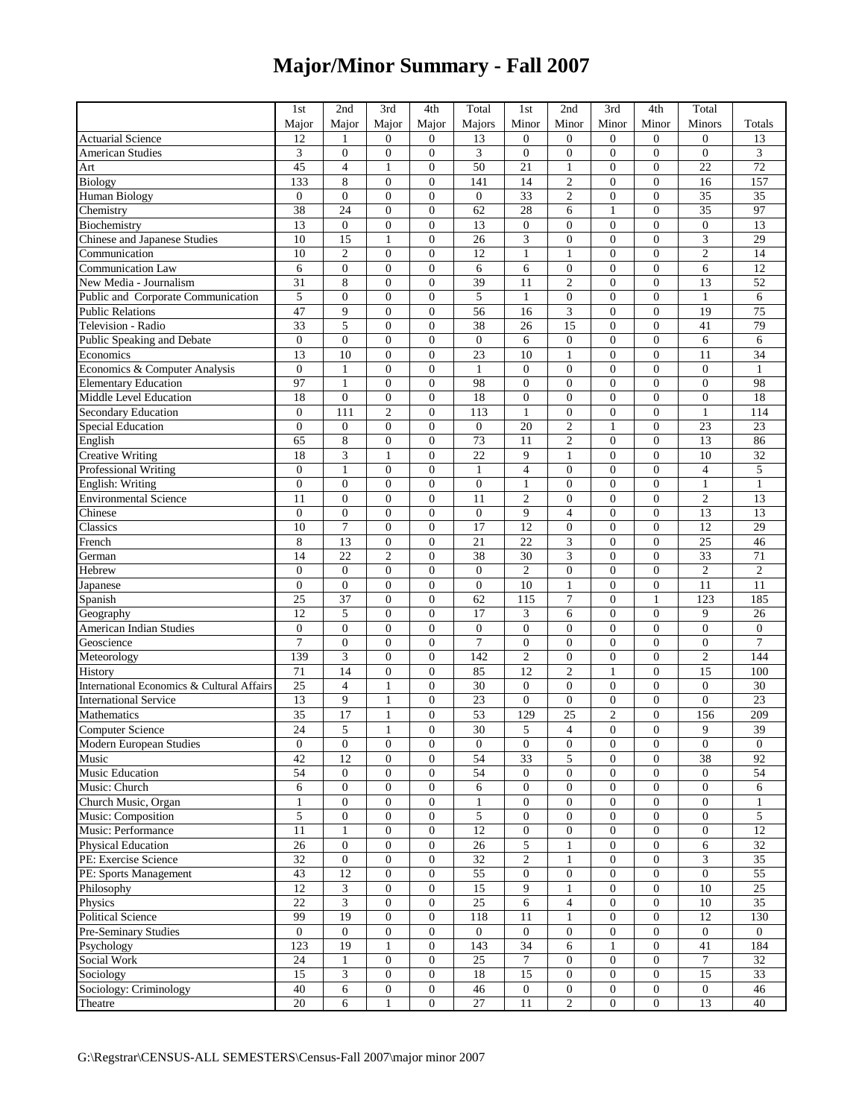## **Major/Minor Summary - Fall 2007**

|                                            | 1st              | 2nd                    | 3rd                     | 4th              | Total            | 1st              | 2nd              | 3rd              | 4th              | Total                       |                  |
|--------------------------------------------|------------------|------------------------|-------------------------|------------------|------------------|------------------|------------------|------------------|------------------|-----------------------------|------------------|
|                                            | Major            | Major                  | Major                   | Major            | Majors           | Minor            | Minor            | Minor            | Minor            | Minors                      | Totals           |
| <b>Actuarial Science</b>                   | 12               | 1                      | $\overline{0}$          | $\overline{0}$   | 13               | $\overline{0}$   | $\mathbf{0}$     | $\boldsymbol{0}$ | $\overline{0}$   | $\boldsymbol{0}$            | 13               |
| American Studies                           | 3                | $\boldsymbol{0}$       | 0                       | $\overline{0}$   | 3                | $\mathbf{0}$     | $\boldsymbol{0}$ | $\boldsymbol{0}$ | $\overline{0}$   | $\boldsymbol{0}$            | 3                |
|                                            | 45               | $\overline{4}$         | 1                       | $\mathbf{0}$     | 50               | 21               | $\mathbf{1}$     | $\mathbf{0}$     | $\overline{0}$   | 22                          | 72               |
| Art                                        | 133              | 8                      | $\overline{0}$          | $\overline{0}$   | 141              | 14               | $\overline{c}$   | $\overline{0}$   | $\overline{0}$   | 16                          | 157              |
| <b>Biology</b>                             |                  |                        | $\overline{0}$          | $\overline{0}$   |                  | $\overline{33}$  |                  |                  | $\overline{0}$   |                             | $\overline{35}$  |
| <b>Human Biology</b>                       | $\boldsymbol{0}$ | $\boldsymbol{0}$<br>24 |                         |                  | $\boldsymbol{0}$ |                  | $\mathfrak{2}$   | $\boldsymbol{0}$ |                  | 35                          |                  |
| Chemistry                                  | 38               |                        | $\mathbf{0}$            | $\mathbf{0}$     | 62               | 28               | 6                | $\mathbf{1}$     | $\mathbf{0}$     | 35                          | 97               |
| Biochemistry                               | 13               | $\overline{0}$         | $\overline{0}$          | $\overline{0}$   | 13               | $\mathbf{0}$     | $\overline{0}$   | $\overline{0}$   | $\theta$         | $\overline{0}$              | 13               |
| Chinese and Japanese Studies               | 10               | 15                     | 1                       | $\overline{0}$   | 26               | 3                | $\boldsymbol{0}$ | $\boldsymbol{0}$ | $\overline{0}$   | $\ensuremath{\mathfrak{Z}}$ | 29               |
| Communication                              | 10               | $\sqrt{2}$             | $\overline{0}$          | $\overline{0}$   | 12               | 1                | 1                | $\boldsymbol{0}$ | $\overline{0}$   | $\mathfrak{2}$              | 14               |
| <b>Communication Law</b>                   | 6                | $\mathbf{0}$           | $\overline{0}$          | $\overline{0}$   | 6                | 6                | $\boldsymbol{0}$ | $\boldsymbol{0}$ | $\overline{0}$   | 6                           | $\overline{12}$  |
| New Media - Journalism                     | 31               | 8                      | $\boldsymbol{0}$        | $\overline{0}$   | 39               | 11               | $\overline{c}$   | $\mathbf{0}$     | $\overline{0}$   | 13                          | 52               |
| Public and Corporate Communication         | 5                | $\overline{0}$         | $\overline{0}$          | $\overline{0}$   | 5                | 1                | $\overline{0}$   | $\mathbf{0}$     | $\overline{0}$   | $\mathbf{1}$                | 6                |
| <b>Public Relations</b>                    | 47               | 9                      | $\mathbf{0}$            | $\mathbf{0}$     | 56               | 16               | 3                | $\overline{0}$   | $\overline{0}$   | 19                          | 75               |
| Television - Radio                         | 33               | 5                      | $\overline{0}$          | $\overline{0}$   | 38               | 26               | 15               | $\boldsymbol{0}$ | $\overline{0}$   | 41                          | 79               |
| Public Speaking and Debate                 | $\mathbf{0}$     | $\boldsymbol{0}$       | $\overline{0}$          | $\overline{0}$   | $\boldsymbol{0}$ | 6                | $\boldsymbol{0}$ | $\boldsymbol{0}$ | $\overline{0}$   | 6                           | 6                |
| Economics                                  | 13               | 10                     | $\mathbf{0}$            | $\mathbf{0}$     | 23               | 10               | 1                | $\boldsymbol{0}$ | $\overline{0}$   | 11                          | 34               |
| Economics & Computer Analysis              | $\theta$         | $\mathbf{1}$           | $\overline{0}$          | $\overline{0}$   | $\mathbf{1}$     | $\Omega$         | $\overline{0}$   | $\overline{0}$   | $\overline{0}$   | $\overline{0}$              | $\mathbf{1}$     |
| <b>Elementary Education</b>                | 97               | $\mathbf{1}$           | $\overline{0}$          | $\overline{0}$   | 98               | $\mathbf{0}$     | $\overline{0}$   | $\mathbf{0}$     | $\overline{0}$   | $\boldsymbol{0}$            | 98               |
| Middle Level Education                     | 18               | $\overline{0}$         | $\overline{0}$          | $\overline{0}$   | 18               | $\mathbf{0}$     | $\boldsymbol{0}$ | $\boldsymbol{0}$ | $\overline{0}$   | $\boldsymbol{0}$            | 18               |
| <b>Secondary Education</b>                 | $\mathbf{0}$     | 111                    | $\overline{\mathbf{c}}$ | $\boldsymbol{0}$ | 113              | $\mathbf{1}$     | $\boldsymbol{0}$ | $\boldsymbol{0}$ | $\overline{0}$   | $\mathbf{1}$                | 114              |
| <b>Special Education</b>                   | $\overline{0}$   | $\boldsymbol{0}$       | $\boldsymbol{0}$        | $\overline{0}$   | $\boldsymbol{0}$ | 20               | $\overline{2}$   | $\mathbf{1}$     | $\overline{0}$   | 23                          | $\overline{23}$  |
| English                                    | 65               | 8                      | $\overline{0}$          | $\overline{0}$   | 73               | 11               | 2                | $\mathbf{0}$     | $\overline{0}$   | 13                          | 86               |
| <b>Creative Writing</b>                    | 18               | 3                      | 1                       | $\overline{0}$   | 22               | 9                | 1                | $\overline{0}$   | $\overline{0}$   | 10                          | $\overline{32}$  |
| Professional Writing                       | $\mathbf{0}$     | $\mathbf{1}$           | $\overline{0}$          | $\mathbf{0}$     | $\mathbf{1}$     | $\overline{4}$   | $\mathbf{0}$     | $\overline{0}$   | $\overline{0}$   | $\overline{4}$              | 5                |
| <b>English: Writing</b>                    | $\boldsymbol{0}$ | $\boldsymbol{0}$       | $\overline{0}$          | $\mathbf{0}$     | $\boldsymbol{0}$ | $\mathbf{1}$     | $\boldsymbol{0}$ | $\boldsymbol{0}$ | $\overline{0}$   | $\mathbf{1}$                | $\mathbf{1}$     |
| <b>Environmental Science</b>               | 11               | $\boldsymbol{0}$       | $\mathbf{0}$            | $\mathbf{0}$     | 11               | $\overline{c}$   | $\boldsymbol{0}$ | $\boldsymbol{0}$ | $\overline{0}$   | $\mathfrak{2}$              | $\overline{13}$  |
| Chinese                                    | $\theta$         | $\mathbf{0}$           | $\overline{0}$          | $\overline{0}$   | $\boldsymbol{0}$ | 9                | $\overline{4}$   | $\overline{0}$   | $\overline{0}$   | 13                          | $\overline{13}$  |
| Classics                                   | 10               | $\boldsymbol{7}$       | $\boldsymbol{0}$        | $\overline{0}$   | 17               | 12               | $\boldsymbol{0}$ | $\boldsymbol{0}$ | $\overline{0}$   | 12                          | 29               |
| French                                     | 8                | 13                     | $\overline{0}$          | $\mathbf{0}$     | 21               | 22               | 3                | $\mathbf{0}$     | $\overline{0}$   | 25                          | 46               |
|                                            | 14               | 22                     | $\overline{c}$          | $\mathbf{0}$     | 38               | 30               | 3                | $\boldsymbol{0}$ | $\overline{0}$   | 33                          | $\overline{71}$  |
| German                                     | $\mathbf{0}$     | $\mathbf{0}$           | $\mathbf{0}$            | $\overline{0}$   | $\mathbf{0}$     | $\overline{c}$   | $\overline{0}$   | $\mathbf{0}$     | $\overline{0}$   | $\overline{2}$              | $\overline{c}$   |
| Hebrew                                     |                  |                        |                         |                  |                  |                  |                  |                  |                  |                             |                  |
| Japanese                                   | $\mathbf{0}$     | $\mathbf{0}$           | $\overline{0}$          | $\mathbf{0}$     | $\boldsymbol{0}$ | 10               | 1                | $\mathbf{0}$     | $\overline{0}$   | 11                          | 11               |
| Spanish                                    | 25               | 37                     | $\mathbf{0}$            | $\overline{0}$   | 62               | 115              | 7                | $\mathbf{0}$     | 1                | 123                         | 185              |
| Geography                                  | 12               | 5                      | $\overline{0}$          | $\mathbf{0}$     | 17               | 3                | 6                | $\boldsymbol{0}$ | $\overline{0}$   | 9                           | 26               |
| <b>American Indian Studies</b>             | $\boldsymbol{0}$ | $\boldsymbol{0}$       | $\boldsymbol{0}$        | $\overline{0}$   | $\boldsymbol{0}$ | $\overline{0}$   | $\boldsymbol{0}$ | $\boldsymbol{0}$ | $\overline{0}$   | $\boldsymbol{0}$            | $\boldsymbol{0}$ |
| Geoscience                                 | $\overline{7}$   | $\boldsymbol{0}$       | $\mathbf{0}$            | $\overline{0}$   | $\overline{7}$   | $\mathbf{0}$     | $\overline{0}$   | $\boldsymbol{0}$ | $\overline{0}$   | $\boldsymbol{0}$            | $\overline{7}$   |
| Meteorology                                | 139              | 3                      | $\overline{0}$          | $\theta$         | 142              | $\overline{c}$   | $\overline{0}$   | $\overline{0}$   | $\theta$         | $\sqrt{2}$                  | 144              |
| History                                    | 71               | 14                     | $\overline{0}$          | $\overline{0}$   | 85               | 12               | $\overline{c}$   | $\mathbf{1}$     | $\overline{0}$   | 15                          | 100              |
| International Economics & Cultural Affairs | 25               | $\overline{4}$         | 1                       | $\overline{0}$   | 30               | $\mathbf{0}$     | $\boldsymbol{0}$ | $\boldsymbol{0}$ | $\overline{0}$   | $\boldsymbol{0}$            | 30               |
| <b>International Service</b>               | 13               | 9                      | $\mathbf{1}$            | $\boldsymbol{0}$ | $\overline{23}$  | $\mathbf{0}$     | $\boldsymbol{0}$ | $\boldsymbol{0}$ | $\overline{0}$   | $\boldsymbol{0}$            | 23               |
| Mathematics                                | 35               | 17                     | $\mathbf{1}$            | $\overline{0}$   | 53               | 129              | 25               | $\overline{2}$   | $\overline{0}$   | 156                         | 209              |
| <b>Computer Science</b>                    | 24               | 5                      |                         | $\theta$         | 30               | 5                | $\overline{4}$   | $\boldsymbol{0}$ | $\boldsymbol{0}$ | $\mathbf{Q}$                | 39               |
| <b>Modern European Studies</b>             | $\mathbf{0}$     | $\mathbf{0}$           | $\mathbf{0}$            | $\boldsymbol{0}$ | $\boldsymbol{0}$ | $\mathbf{0}$     | $\boldsymbol{0}$ | $\boldsymbol{0}$ | $\boldsymbol{0}$ | $\mathbf{0}$                | $\mathbf{0}$     |
| Music                                      | 42               | 12                     | $\mathbf{0}$            | $\overline{0}$   | 54               | 33               | 5                | $\mathbf{0}$     | $\overline{0}$   | 38                          | 92               |
| <b>Music Education</b>                     | 54               | $\boldsymbol{0}$       | $\mathbf{0}$            | $\boldsymbol{0}$ | 54               | $\mathbf{0}$     | $\boldsymbol{0}$ | $\boldsymbol{0}$ | $\boldsymbol{0}$ | $\mathbf{0}$                | 54               |
| Music: Church                              | 6                | $\boldsymbol{0}$       | $\boldsymbol{0}$        | $\boldsymbol{0}$ | 6                | $\boldsymbol{0}$ | $\boldsymbol{0}$ | $\boldsymbol{0}$ | $\boldsymbol{0}$ | $\boldsymbol{0}$            | 6                |
| Church Music, Organ                        | $\mathbf{1}$     | $\boldsymbol{0}$       | $\overline{0}$          | $\boldsymbol{0}$ | $\mathbf{1}$     | $\boldsymbol{0}$ | $\boldsymbol{0}$ | $\boldsymbol{0}$ | $\overline{0}$   | $\overline{0}$              | $\mathbf{1}$     |
| Music: Composition                         | 5                | $\mathbf{0}$           | $\mathbf{0}$            | $\boldsymbol{0}$ | 5                | $\mathbf{0}$     | $\boldsymbol{0}$ | $\boldsymbol{0}$ | $\boldsymbol{0}$ | $\boldsymbol{0}$            | 5                |
| Music: Performance                         | 11               | $\mathbf{1}$           | 0                       | $\mathbf{0}$     | 12               | $\mathbf{0}$     | $\boldsymbol{0}$ | $\mathbf{0}$     | $\overline{0}$   | $\boldsymbol{0}$            | 12               |
| <b>Physical Education</b>                  | $\overline{26}$  | $\boldsymbol{0}$       | $\overline{0}$          | $\overline{0}$   | $26\,$           | 5                |                  | $\boldsymbol{0}$ | $\boldsymbol{0}$ | 6                           | 32               |
| PE: Exercise Science                       | $\overline{32}$  | $\boldsymbol{0}$       | $\boldsymbol{0}$        | $\boldsymbol{0}$ | $\overline{32}$  | $\overline{c}$   | $\mathbf{1}$     | $\boldsymbol{0}$ | $\overline{0}$   | 3                           | $\overline{35}$  |
| PE: Sports Management                      | 43               | $\overline{12}$        | $\boldsymbol{0}$        | $\boldsymbol{0}$ | 55               | $\boldsymbol{0}$ | $\boldsymbol{0}$ | $\boldsymbol{0}$ | 0                | $\boldsymbol{0}$            | 55               |
| Philosophy                                 | 12               | 3                      | $\boldsymbol{0}$        | $\boldsymbol{0}$ | 15               | 9                | 1                | $\boldsymbol{0}$ | $\boldsymbol{0}$ | 10                          | 25               |
| Physics                                    | 22               | 3                      | $\overline{0}$          | $\overline{0}$   | $\overline{25}$  | 6                | $\overline{4}$   | $\mathbf{0}$     | $\overline{0}$   | $10\,$                      | $\overline{35}$  |
| <b>Political Science</b>                   | 99               | 19                     | $\mathbf{0}$            | $\overline{0}$   | 118              | 11               | $\mathbf{1}$     | $\boldsymbol{0}$ | $\boldsymbol{0}$ | 12                          | 130              |
| Pre-Seminary Studies                       | $\mathbf{0}$     | $\mathbf{0}$           | $\boldsymbol{0}$        | $\mathbf{0}$     |                  | $\boldsymbol{0}$ |                  | $\boldsymbol{0}$ | $\boldsymbol{0}$ | $\boldsymbol{0}$            |                  |
|                                            |                  | 19                     | $\mathbf{1}$            |                  | 0                | $\overline{34}$  | $\boldsymbol{0}$ |                  | $\overline{0}$   |                             | 0                |
| Psychology                                 | 123              |                        |                         | $\boldsymbol{0}$ | 143              |                  | 6                | $\mathbf{1}$     |                  | 41                          | 184              |
| Social Work                                | 24               | $\mathbf{1}$           | $\mathbf{0}$            | $\boldsymbol{0}$ | 25               | $\tau$           | $\boldsymbol{0}$ | $\boldsymbol{0}$ | $\boldsymbol{0}$ | $\tau$                      | 32               |
| Sociology                                  | 15               | 3                      | 0                       | $\mathbf{0}$     | 18               | 15               | $\boldsymbol{0}$ | $\boldsymbol{0}$ | $\overline{0}$   | 15                          | 33               |
| Sociology: Criminology                     | 40               | 6                      | $\mathbf{0}$            | $\boldsymbol{0}$ | 46               | $\boldsymbol{0}$ | $\boldsymbol{0}$ | $\boldsymbol{0}$ | $\boldsymbol{0}$ | $\boldsymbol{0}$            | 46               |
| Theatre                                    | 20               | 6                      | $\mathbf{1}$            | $\boldsymbol{0}$ | $27\,$           | 11               | $\overline{c}$   | $\boldsymbol{0}$ | $\boldsymbol{0}$ | 13                          | 40               |